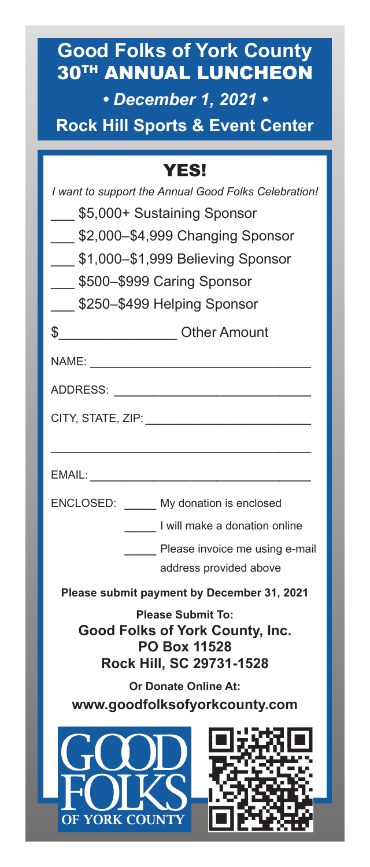# **Good Folks of York County 30TH ANNUAL LUNCHEON** *• December 1, 2021 •*

**Rock Hill Sports & Event Center**

## YES!

| I want to support the Annual Good Folks Celebration!<br>\$5,000+ Sustaining Sponsor<br>\$2,000-\$4,999 Changing Sponsor<br>\$1,000–\$1,999 Believing Sponsor<br>___ \$500-\$999 Caring Sponsor<br>\$250-\$499 Helping Sponsor |
|-------------------------------------------------------------------------------------------------------------------------------------------------------------------------------------------------------------------------------|
| \$___________________Other Amount                                                                                                                                                                                             |
|                                                                                                                                                                                                                               |
|                                                                                                                                                                                                                               |
|                                                                                                                                                                                                                               |
|                                                                                                                                                                                                                               |
|                                                                                                                                                                                                                               |
| ENCLOSED: My donation is enclosed                                                                                                                                                                                             |
| I will make a donation online                                                                                                                                                                                                 |
| Please invoice me using e-mail<br>address provided above                                                                                                                                                                      |
| Please submit payment by December 31, 2021                                                                                                                                                                                    |
| Please Submit To:<br>Good Folks of York County, Inc.<br><b>PO Box 11528</b><br>Rock Hill, SC 29731-1528<br>Or Donate Online At:<br>www.goodfolksofyorkcounty.com                                                              |
| <b>OF YORK COUNTY</b>                                                                                                                                                                                                         |